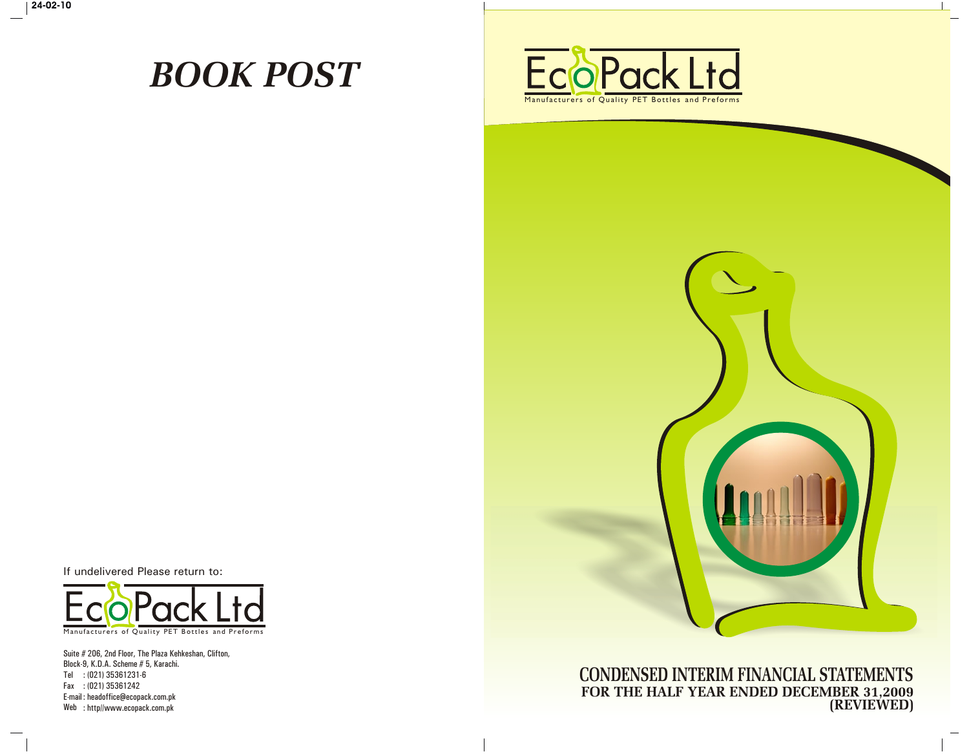# *BOOK POST*





**CONDENSED INTERIM FINANCIAL STATEMENTS FOR THE HALF YEAR ENDED DECEMBER 31,2009 (REVIEWED)**

If undelivered Please return to:



Suite # 206, 2nd Floor, The Plaza Kehkeshan, Clifton, Block-9, K.D.A. Scheme # 5, Karachi. Tel : (021) 35361231-6 Fax : (021) 35361242 E-mail : headoffice@ecopack.com.pk Web : http//www.ecopack.com.pk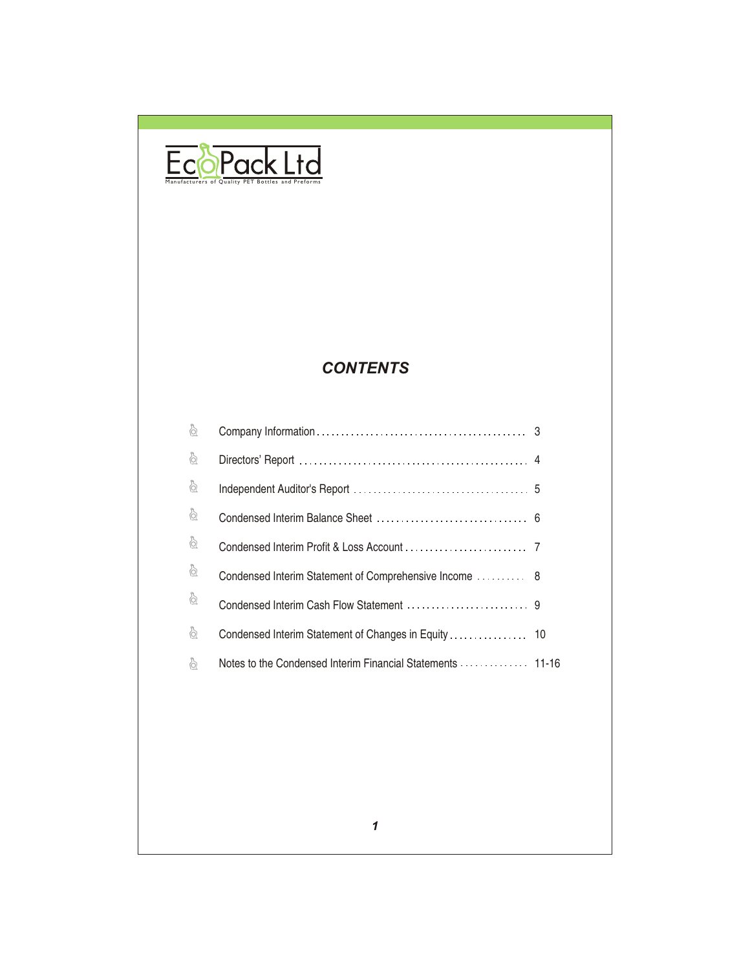

### *CONTENTS*

| ò                      |                                                            |  |
|------------------------|------------------------------------------------------------|--|
| ò                      |                                                            |  |
| ò                      |                                                            |  |
| $\frac{1}{\mathbb{Q}}$ |                                                            |  |
| ò                      |                                                            |  |
| ò                      | Condensed Interim Statement of Comprehensive Income  8     |  |
| $\delta$               |                                                            |  |
| ò                      |                                                            |  |
| ò                      | Notes to the Condensed Interim Financial Statements  11-16 |  |
|                        |                                                            |  |
|                        |                                                            |  |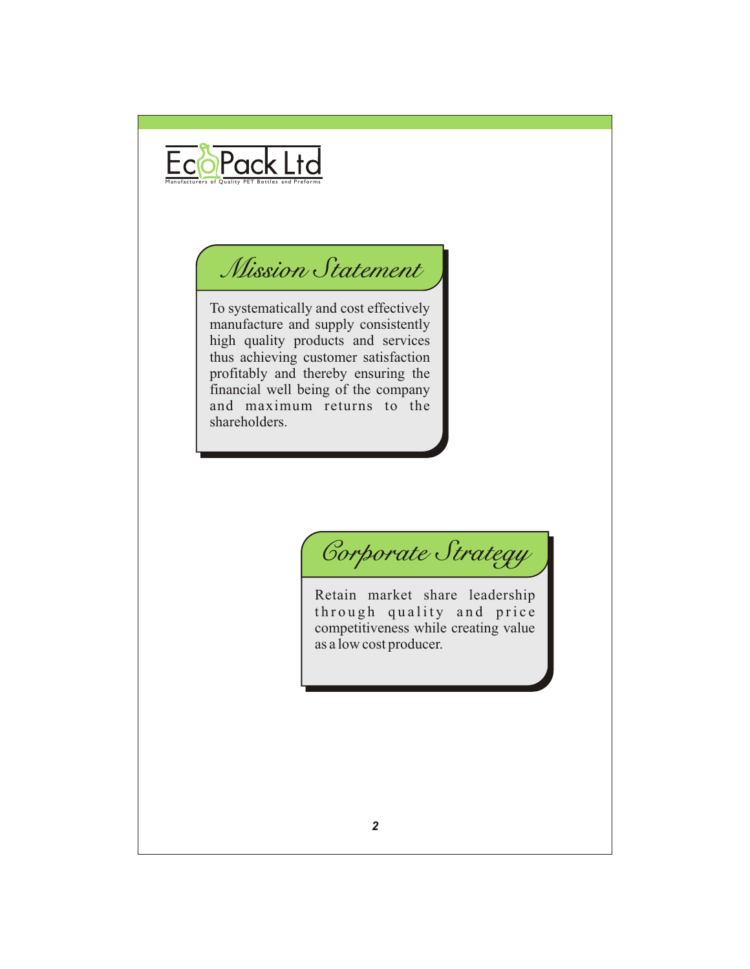

## *Mission Statement*

To systematically and cost effectively manufacture and supply consistently high quality products and services thus achieving customer satisfaction profitably and thereby ensuring the financial well being of the company and maximum returns to the shareholders.

*Corporate Strategy*

Retain market share leadership through quality and price competitiveness while creating value as a low cost producer.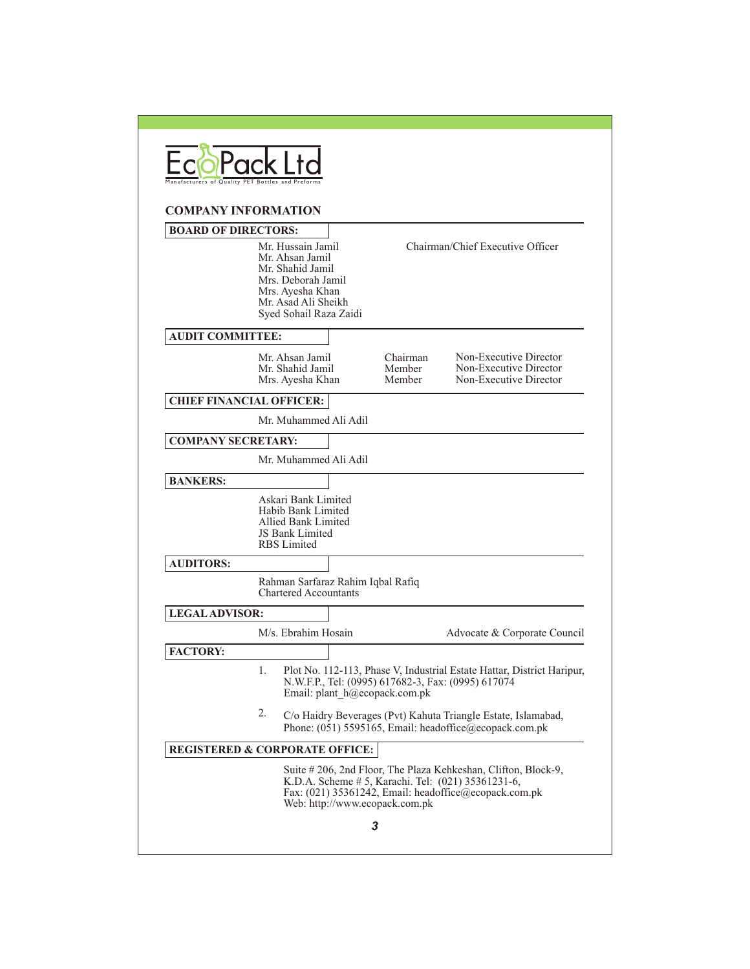|                                           |    | <b>COMPANY INFORMATION</b>                                                                                                                          |                               |                                |                                                                                                                                                                               |
|-------------------------------------------|----|-----------------------------------------------------------------------------------------------------------------------------------------------------|-------------------------------|--------------------------------|-------------------------------------------------------------------------------------------------------------------------------------------------------------------------------|
| <b>BOARD OF DIRECTORS:</b>                |    | Mr. Hussain Jamil<br>Mr. Ahsan Jamil<br>Mr. Shahid Jamil<br>Mrs. Deborah Jamil<br>Mrs. Ayesha Khan<br>Mr. Asad Ali Sheikh<br>Syed Sohail Raza Zaidi |                               |                                | Chairman/Chief Executive Officer                                                                                                                                              |
| <b>AUDIT COMMITTEE:</b>                   |    |                                                                                                                                                     |                               |                                |                                                                                                                                                                               |
|                                           |    | Mr. Ahsan Jamil<br>Mr. Shahid Jamil<br>Mrs. Ayesha Khan                                                                                             |                               | Chairman<br>Member<br>Member   | Non-Executive Director<br>Non-Executive Director<br>Non-Executive Director                                                                                                    |
| <b>CHIEF FINANCIAL OFFICER:</b>           |    |                                                                                                                                                     |                               |                                |                                                                                                                                                                               |
|                                           |    | Mr. Muhammed Ali Adil                                                                                                                               |                               |                                |                                                                                                                                                                               |
| <b>COMPANY SECRETARY:</b>                 |    |                                                                                                                                                     |                               |                                |                                                                                                                                                                               |
|                                           |    | Mr. Muhammed Ali Adil                                                                                                                               |                               |                                |                                                                                                                                                                               |
| <b>BANKERS:</b>                           |    |                                                                                                                                                     |                               |                                |                                                                                                                                                                               |
|                                           |    | Askari Bank Limited<br>Habib Bank Limited<br>Allied Bank Limited<br>JS Bank Limited<br><b>RBS</b> Limited                                           |                               |                                |                                                                                                                                                                               |
| <b>AUDITORS:</b>                          |    |                                                                                                                                                     |                               |                                |                                                                                                                                                                               |
|                                           |    | Rahman Sarfaraz Rahim Iqbal Rafiq<br><b>Chartered Accountants</b>                                                                                   |                               |                                |                                                                                                                                                                               |
| <b>LEGAL ADVISOR:</b>                     |    |                                                                                                                                                     |                               |                                |                                                                                                                                                                               |
|                                           |    | M/s. Ebrahim Hosain                                                                                                                                 |                               |                                | Advocate & Corporate Council                                                                                                                                                  |
| <b>FACTORY:</b>                           |    |                                                                                                                                                     | Email: plant h@ecopack.com.pk |                                | Plot No. 112-113, Phase V, Industrial Estate Hattar, District Haripur,<br>N.W.F.P., Tel: (0995) 617682-3, Fax: (0995) 617074                                                  |
|                                           | 2. |                                                                                                                                                     |                               |                                | C/o Haidry Beverages (Pvt) Kahuta Triangle Estate, Islamabad,<br>Phone: (051) 5595165, Email: headoffice@ecopack.com.pk                                                       |
|                                           |    |                                                                                                                                                     |                               |                                |                                                                                                                                                                               |
| <b>REGISTERED &amp; CORPORATE OFFICE:</b> |    |                                                                                                                                                     |                               |                                |                                                                                                                                                                               |
|                                           |    |                                                                                                                                                     |                               | Web: http://www.ecopack.com.pk | Suite # 206, 2nd Floor, The Plaza Kehkeshan, Clifton, Block-9,<br>K.D.A. Scheme # 5, Karachi. Tel: (021) 35361231-6,<br>Fax: (021) 35361242, Email: headoffice@ecopack.com.pk |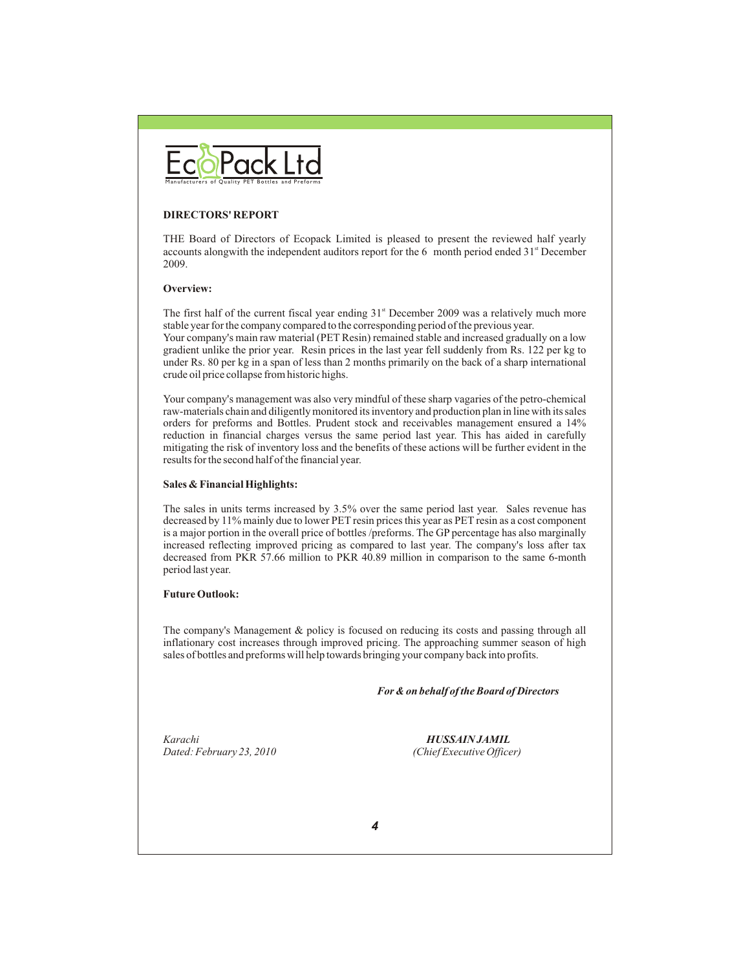

#### **DIRECTORS' REPORT**

THE Board of Directors of Ecopack Limited is pleased to present the reviewed half yearly accounts alongwith the independent auditors report for the 6 month period ended  $31<sup>st</sup>$  December 2009.

#### **Overview:**

The first half of the current fiscal year ending  $31<sup>st</sup>$  December 2009 was a relatively much more stable year for the company compared to the corresponding period of the previous year. Your company's main raw material (PET Resin) remained stable and increased gradually on a low gradient unlike the prior year. Resin prices in the last year fell suddenly from Rs. 122 per kg to under Rs. 80 per kg in a span of less than 2 months primarily on the back of a sharp international crude oil price collapse from historic highs.

Your company's management was also very mindful of these sharp vagaries of the petro-chemical raw-materials chain and diligently monitored its inventory and production plan in line with its sales orders for preforms and Bottles. Prudent stock and receivables management ensured a 14% reduction in financial charges versus the same period last year. This has aided in carefully mitigating the risk of inventory loss and the benefits of these actions will be further evident in the results for the second half of the financial year.

#### **Sales & Financial Highlights:**

The sales in units terms increased by 3.5% over the same period last year. Sales revenue has decreased by 11% mainly due to lower PET resin prices this year as PET resin as a cost component is a major portion in the overall price of bottles /preforms. The GP percentage has also marginally increased reflecting improved pricing as compared to last year. The company's loss after tax decreased from PKR 57.66 million to PKR 40.89 million in comparison to the same 6-month period last year.

#### **Future Outlook:**

The company's Management & policy is focused on reducing its costs and passing through all inflationary cost increases through improved pricing. The approaching summer season of high sales of bottles and preforms will help towards bringing your company back into profits.

 *For & on behalf of the Board of Directors*

*Karachi HUSSAIN JAMIL Dated: February 23, 2010 (Chief Executive Officer)*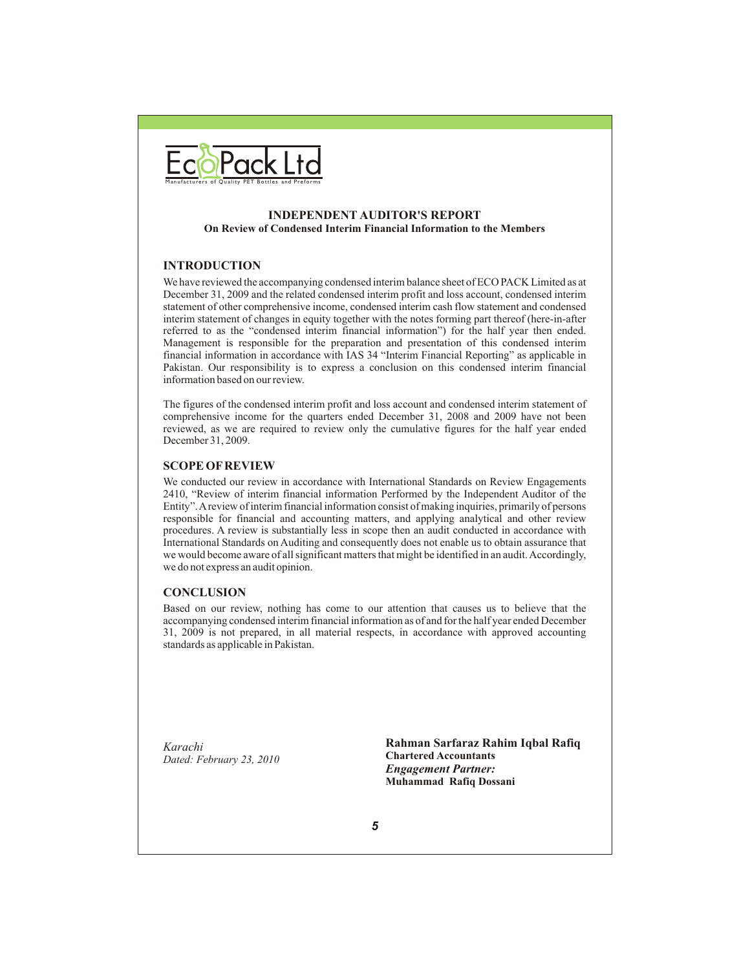

#### **INDEPENDENT AUDITOR'S REPORT On Review of Condensed Interim Financial Information to the Members**

#### **INTRODUCTION**

We have reviewed the accompanying condensed interim balance sheet of ECO PACK Limited as at December 31, 2009 and the related condensed interim profit and loss account, condensed interim statement of other comprehensive income, condensed interim cash flow statement and condensed interim statement of changes in equity together with the notes forming part thereof (here-in-after referred to as the "condensed interim financial information") for the half year then ended. Management is responsible for the preparation and presentation of this condensed interim financial information in accordance with IAS 34 "Interim Financial Reporting" as applicable in Pakistan. Our responsibility is to express a conclusion on this condensed interim financial information based on our review.

The figures of the condensed interim profit and loss account and condensed interim statement of comprehensive income for the quarters ended December 31, 2008 and 2009 have not been reviewed, as we are required to review only the cumulative figures for the half year ended December 31, 2009.

#### **SCOPE OF REVIEW**

We conducted our review in accordance with International Standards on Review Engagements 2410, "Review of interim financial information Performed by the Independent Auditor of the Entity". A review of interim financial information consist of making inquiries, primarily of persons responsible for financial and accounting matters, and applying analytical and other review procedures. A review is substantially less in scope then an audit conducted in accordance with International Standards on Auditing and consequently does not enable us to obtain assurance that we would become aware of all significant matters that might be identified in an audit. Accordingly, we do not express an audit opinion.

#### **CONCLUSION**

Based on our review, nothing has come to our attention that causes us to believe that the accompanying condensed interim financial information as of and for the half year ended December 31, 2009 is not prepared, in all material respects, in accordance with approved accounting standards as applicable in Pakistan.

*Karachi Dated: February 23, 2010* **Rahman Sarfaraz Rahim Iqbal Rafiq Chartered Accountants** *Engagement Partner:* **Muhammad Rafiq Dossani**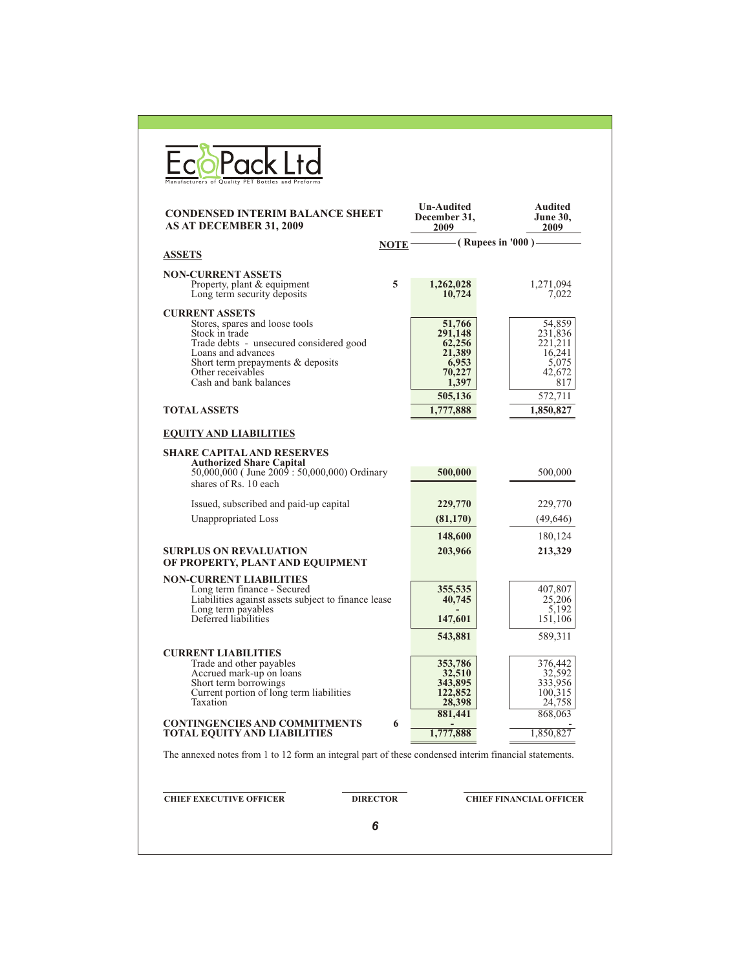| <b>CONDENSED INTERIM BALANCE SHEET</b><br>AS AT DECEMBER 31, 2009                                                                                                                                                              |             | <b>Un-Audited</b><br>December 31,<br>2009                         | <b>Audited</b><br><b>June 30,</b><br>2009                        |
|--------------------------------------------------------------------------------------------------------------------------------------------------------------------------------------------------------------------------------|-------------|-------------------------------------------------------------------|------------------------------------------------------------------|
|                                                                                                                                                                                                                                | <b>NOTE</b> |                                                                   | (Rupees in '000) —                                               |
| <b>ASSETS</b>                                                                                                                                                                                                                  |             |                                                                   |                                                                  |
| <b>NON-CURRENT ASSETS</b><br>Property, plant & equipment<br>Long term security deposits                                                                                                                                        | 5           | 1,262,028<br>10,724                                               | 1,271,094<br>7,022                                               |
| <b>CURRENT ASSETS</b><br>Stores, spares and loose tools<br>Stock in trade<br>Trade debts - unsecured considered good<br>Loans and advances<br>Short term prepayments & deposits<br>Other receivables<br>Cash and bank balances |             | 51,766<br>291,148<br>62,256<br>21,389<br>6,953<br>70,227<br>1,397 | 54,859<br>231,836<br>221,211<br>16,241<br>5.075<br>42,672<br>817 |
|                                                                                                                                                                                                                                |             | 505,136                                                           | 572,711                                                          |
| <b>TOTAL ASSETS</b>                                                                                                                                                                                                            |             | 1,777,888                                                         | 1,850,827                                                        |
| <b>SHARE CAPITAL AND RESERVES</b><br><b>Authorized Share Capital</b><br>50,000,000 (June 2009 : 50,000,000) Ordinary<br>shares of Rs. 10 each                                                                                  |             | 500,000                                                           | 500,000                                                          |
| Issued, subscribed and paid-up capital                                                                                                                                                                                         |             | 229,770                                                           | 229,770                                                          |
| Unappropriated Loss                                                                                                                                                                                                            |             | (81,170)                                                          | (49, 646)                                                        |
|                                                                                                                                                                                                                                |             | 148,600                                                           | 180,124                                                          |
| <b>SURPLUS ON REVALUATION</b><br>OF PROPERTY, PLANT AND EQUIPMENT                                                                                                                                                              |             | 203,966                                                           | 213,329                                                          |
| <b>NON-CURRENT LIABILITIES</b><br>Long term finance - Secured<br>Liabilities against assets subject to finance lease<br>Long term payables<br>Deferred liabilities                                                             |             | 355,535<br>40,745<br>147,601                                      | 407,807<br>25,206<br>5,192<br>151,106                            |
|                                                                                                                                                                                                                                |             | 543,881                                                           | 589,311                                                          |
| <b>CURRENT LIABILITIES</b><br>Trade and other payables<br>Accrued mark-up on Ioans<br>Short term borrowings<br>Current portion of long term liabilities<br>Taxation                                                            |             | 353,786<br>32,510<br>343,895<br>122,852<br>28,398<br>881,441      | 376,442<br>32,592<br>333,956<br>100,315<br>24,758<br>868,063     |
| <b>CONTINGENCIES AND COMMITMENTS</b><br><b>TOTAL EQUITY AND LIABILITIES</b>                                                                                                                                                    | 6           | 1,777,888                                                         | 1,850,827                                                        |
|                                                                                                                                                                                                                                |             |                                                                   |                                                                  |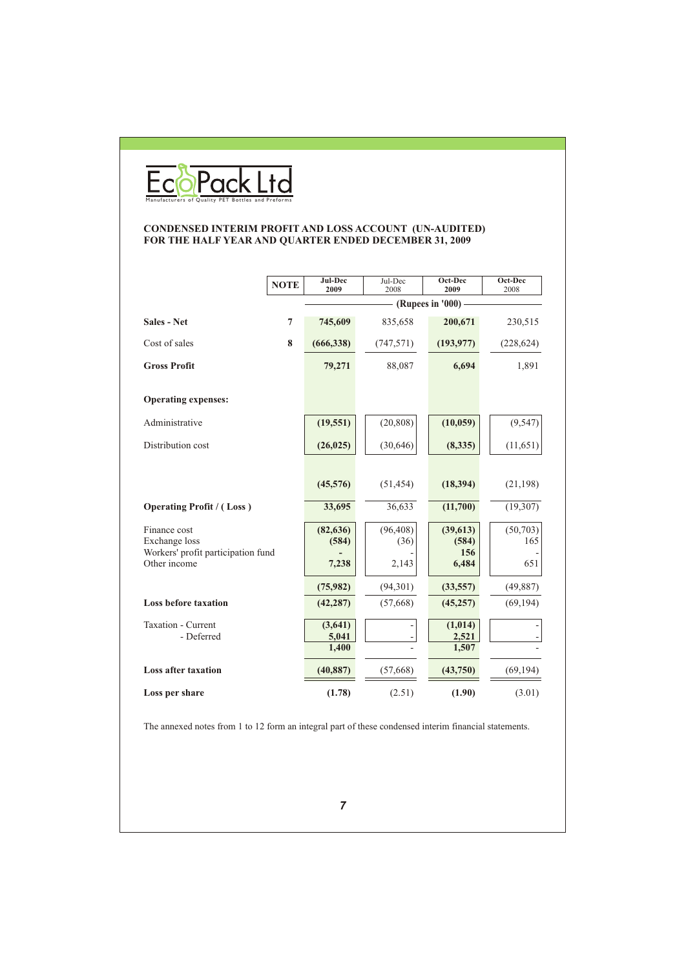

#### **CONDENSED INTERIM PROFIT AND LOSS ACCOUNT (UN-AUDITED) FOR THE HALF YEAR AND QUARTER ENDED DECEMBER 31, 2009**

|                                                     | <b>NOTE</b>    | Jul-Dec<br>2009 | Jul-Dec<br>2008 | Oct-Dec<br>2009    | Oct-Dec<br>2008 |
|-----------------------------------------------------|----------------|-----------------|-----------------|--------------------|-----------------|
|                                                     |                |                 |                 | (Rupees in '000) - |                 |
| <b>Sales - Net</b>                                  | $\overline{7}$ | 745,609         | 835,658         | 200,671            | 230,515         |
| Cost of sales                                       | 8              | (666, 338)      | (747, 571)      | (193, 977)         | (228, 624)      |
| <b>Gross Profit</b>                                 |                | 79,271          | 88,087          | 6,694              | 1,891           |
|                                                     |                |                 |                 |                    |                 |
| <b>Operating expenses:</b>                          |                |                 |                 |                    |                 |
| Administrative                                      |                | (19, 551)       | (20, 808)       | (10, 059)          | (9, 547)        |
| Distribution cost                                   |                | (26, 025)       | (30, 646)       | (8,335)            | (11,651)        |
|                                                     |                |                 |                 |                    |                 |
|                                                     |                | (45,576)        | (51, 454)       | (18, 394)          | (21, 198)       |
| <b>Operating Profit / (Loss)</b>                    |                | 33,695          | 36,633          | (11,700)           | (19,307)        |
| Finance cost                                        |                | (82, 636)       | (96, 408)       | (39, 613)          | (50, 703)       |
| Exchange loss<br>Workers' profit participation fund |                | (584)           | (36)            | (584)<br>156       | 165             |
| Other income                                        |                | 7,238           | 2,143           | 6,484              | 651             |
|                                                     |                | (75,982)        | (94, 301)       | (33, 557)          | (49, 887)       |
| <b>Loss before taxation</b>                         |                | (42, 287)       | (57,668)        | (45, 257)          | (69, 194)       |
| Taxation - Current                                  |                | (3,641)         |                 | (1,014)            |                 |
| - Deferred                                          |                | 5,041<br>1,400  |                 | 2,521<br>1,507     |                 |
| <b>Loss after taxation</b>                          |                | (40, 887)       | (57, 668)       | (43,750)           | (69, 194)       |
| Loss per share                                      |                | (1.78)          | (2.51)          | (1.90)             | (3.01)          |

The annexed notes from 1 to 12 form an integral part of these condensed interim financial statements.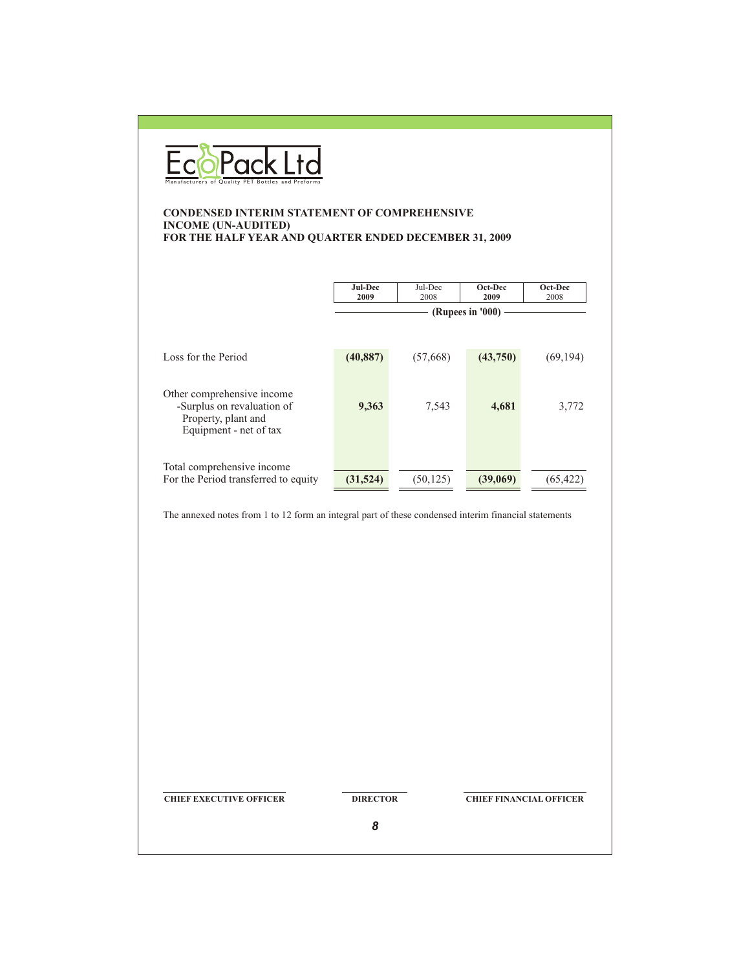

#### **CONDENSED INTERIM STATEMENT OF COMPREHENSIVE INCOME (UN-AUDITED) FOR THE HALF YEAR AND QUARTER ENDED DECEMBER 31, 2009**

|                                                                                                           | Jul-Dec<br>2009 | Jul-Dec<br>2008 | Oct-Dec<br>2009<br>(Rupees in '000) | Oct-Dec<br>2008 |
|-----------------------------------------------------------------------------------------------------------|-----------------|-----------------|-------------------------------------|-----------------|
| Loss for the Period                                                                                       | (40, 887)       | (57,668)        | (43,750)                            | (69, 194)       |
| Other comprehensive income<br>-Surplus on revaluation of<br>Property, plant and<br>Equipment - net of tax | 9,363           | 7,543           | 4,681                               | 3,772           |
| Total comprehensive income<br>For the Period transferred to equity                                        | (31,524)        | (50, 125)       | (39,069)                            | (65, 422)       |

The annexed notes from 1 to 12 form an integral part of these condensed interim financial statements

**CHIEF EXECUTIVE OFFICER DIRECTOR CHIEF FINANCIAL OFFICER**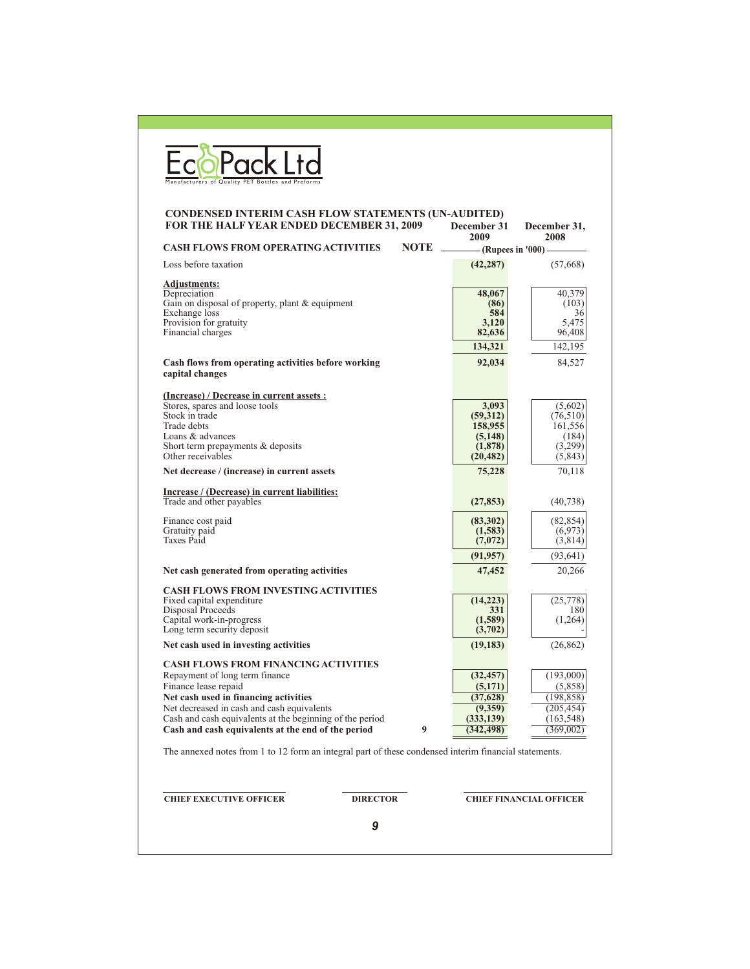| <b>CONDENSED INTERIM CASH FLOW STATEMENTS (UN-AUDITED)</b><br>FOR THE HALF YEAR ENDED DECEMBER 31, 2009             | December 31<br>2009  | December 31,<br>2008 |
|---------------------------------------------------------------------------------------------------------------------|----------------------|----------------------|
| <b>CASH FLOWS FROM OPERATING ACTIVITIES</b><br><b>NOTE</b>                                                          | - (Rupees in '000) - |                      |
| Loss before taxation                                                                                                | (42, 287)            | (57,668)             |
| <b>Adjustments:</b>                                                                                                 |                      |                      |
| Depreciation                                                                                                        | 48,067               | 40.379               |
| Gain on disposal of property, plant & equipment<br>Exchange loss                                                    | (86)                 | (103)                |
| Provision for gratuity                                                                                              | 584<br>3,120         | 36<br>5,475          |
| Financial charges                                                                                                   | 82,636               | 96,408               |
|                                                                                                                     | 134,321              | 142,195              |
| Cash flows from operating activities before working                                                                 | 92,034               | 84,527               |
| capital changes                                                                                                     |                      |                      |
| (Increase) / Decrease in current assets :                                                                           |                      |                      |
| Stores, spares and loose tools                                                                                      | 3,093                | (5,602)              |
| Stock in trade                                                                                                      | (59,312)             | (76,510)             |
| Trade debts                                                                                                         | 158,955              | 161,556              |
| Loans & advances                                                                                                    | (5, 148)             | (184)                |
| Short term prepayments & deposits<br>Other receivables                                                              | (1,878)<br>(20, 482) | (3,299)<br>(5,843)   |
| Net decrease / (increase) in current assets                                                                         | 75,228               | 70,118               |
| Increase / (Decrease) in current liabilities:                                                                       |                      |                      |
| Trade and other payables                                                                                            | (27, 853)            | (40, 738)            |
| Finance cost paid                                                                                                   | (83,302)             | (82, 854)            |
| Gratuity paid                                                                                                       | (1,583)              | (6,973)              |
| Taxes Paid                                                                                                          | (7,072)              | (3,814)              |
|                                                                                                                     | (91, 957)            | (93, 641)            |
| Net cash generated from operating activities                                                                        | 47,452               | 20,266               |
| <b>CASH FLOWS FROM INVESTING ACTIVITIES</b>                                                                         |                      |                      |
| Fixed capital expenditure<br>Disposal Proceeds                                                                      | (14,223)<br>331      | (25,778)<br>180      |
|                                                                                                                     | (1,589)              | (1,264)              |
| Capital work-in-progress<br>Long term security deposit                                                              | (3,702)              |                      |
| Net cash used in investing activities                                                                               | (19, 183)            | (26, 862)            |
| <b>CASH FLOWS FROM FINANCING ACTIVITIES</b>                                                                         |                      |                      |
| Repayment of long term finance                                                                                      | (32, 457)            | (193,000)            |
| Finance lease repaid                                                                                                | (5,171)              | (5,858)              |
| Net cash used in financing activities                                                                               | (37,628)             | (198, 858)           |
| Net decreased in cash and cash equivalents                                                                          | (9,359)              | (205, 454)           |
| Cash and cash equivalents at the beginning of the period<br>Cash and cash equivalents at the end of the period<br>9 | (333, 139)           | (163, 548)           |
|                                                                                                                     | (342, 498)           | (369,002)            |
| The annexed notes from 1 to 12 form an integral part of these condensed interim financial statements.               |                      |                      |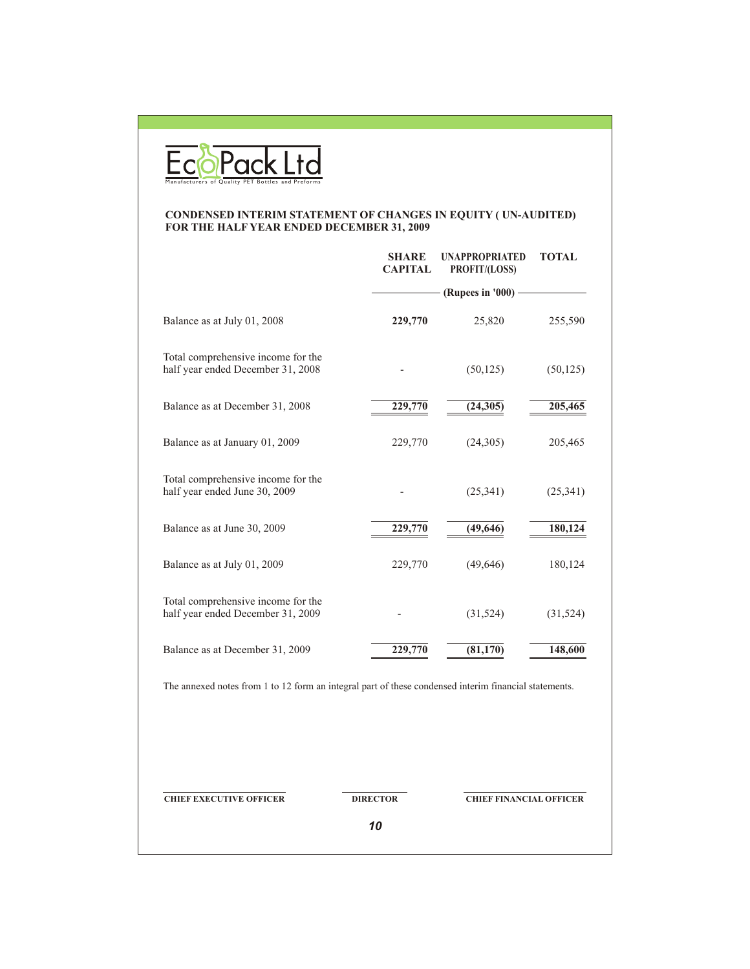

#### **CONDENSED INTERIM STATEMENT OF CHANGES IN EQUITY ( UN-AUDITED) FOR THE HALF YEAR ENDED DECEMBER 31, 2009**

|                                                                                                       | <b>SHARE</b><br><b>CAPITAL</b> | <b>UNAPPROPRIATED</b><br>PROFIT/(LOSS) | <b>TOTAL</b> |
|-------------------------------------------------------------------------------------------------------|--------------------------------|----------------------------------------|--------------|
|                                                                                                       |                                | (Rupees in '000) -                     |              |
| Balance as at July 01, 2008                                                                           | 229,770                        | 25,820                                 | 255,590      |
| Total comprehensive income for the<br>half year ended December 31, 2008                               |                                | (50, 125)                              | (50, 125)    |
| Balance as at December 31, 2008                                                                       | 229,770                        | (24, 305)                              | 205,465      |
| Balance as at January 01, 2009                                                                        | 229,770                        | (24,305)                               | 205,465      |
| Total comprehensive income for the<br>half year ended June 30, 2009                                   |                                | (25, 341)                              | (25, 341)    |
| Balance as at June 30, 2009                                                                           | 229,770                        | (49, 646)                              | 180,124      |
| Balance as at July 01, 2009                                                                           | 229,770                        | (49, 646)                              | 180,124      |
| Total comprehensive income for the<br>half year ended December 31, 2009                               |                                | (31, 524)                              | (31, 524)    |
| Balance as at December 31, 2009                                                                       | 229,770                        | (81, 170)                              | 148,600      |
| The annexed notes from 1 to 12 form an integral part of these condensed interim financial statements. |                                |                                        |              |
|                                                                                                       |                                |                                        |              |
|                                                                                                       |                                |                                        |              |

**CHIEF EXECUTIVE OFFICER DIRECTOR CHIEF FINANCIAL OFFICER** 

*10*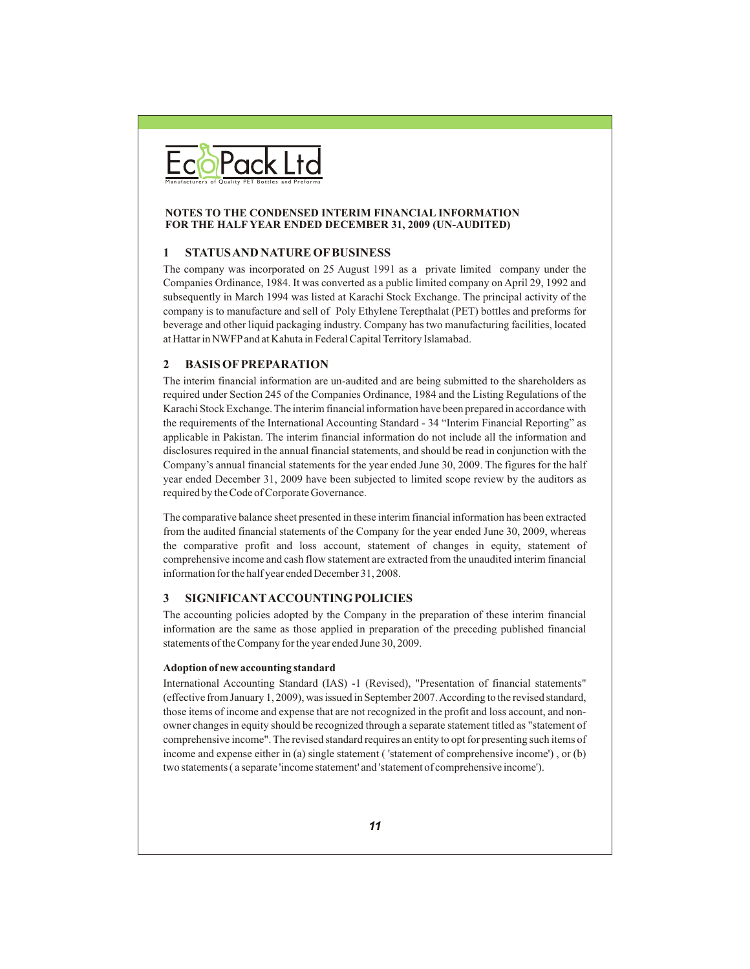

#### **NOTES TO THE CONDENSED INTERIM FINANCIAL INFORMATION FOR THE HALF YEAR ENDED DECEMBER 31, 2009 (UN-AUDITED)**

#### **1 STATUS AND NATURE OF BUSINESS**

The company was incorporated on 25 August 1991 as a private limited company under the Companies Ordinance, 1984. It was converted as a public limited company on April 29, 1992 and subsequently in March 1994 was listed at Karachi Stock Exchange. The principal activity of the company is to manufacture and sell of Poly Ethylene Terepthalat (PET) bottles and preforms for beverage and other liquid packaging industry. Company has two manufacturing facilities, located at Hattar in NWFP and at Kahuta in Federal Capital Territory Islamabad.

#### **2 BASIS OF PREPARATION**

The interim financial information are un-audited and are being submitted to the shareholders as required under Section 245 of the Companies Ordinance, 1984 and the Listing Regulations of the Karachi Stock Exchange. The interim financial information have been prepared in accordance with the requirements of the International Accounting Standard - 34 "Interim Financial Reporting" as applicable in Pakistan. The interim financial information do not include all the information and disclosures required in the annual financial statements, and should be read in conjunction with the Company's annual financial statements for the year ended June 30, 2009. The figures for the half year ended December 31, 2009 have been subjected to limited scope review by the auditors as required by the Code of Corporate Governance.

The comparative balance sheet presented in these interim financial information has been extracted from the audited financial statements of the Company for the year ended June 30, 2009, whereas the comparative profit and loss account, statement of changes in equity, statement of comprehensive income and cash flow statement are extracted from the unaudited interim financial information for the half year ended December 31, 2008.

#### **3 SIGNIFICANTACCOUNTINGPOLICIES**

The accounting policies adopted by the Company in the preparation of these interim financial information are the same as those applied in preparation of the preceding published financial statements of the Company for the year ended June 30, 2009.

#### **Adoption of new accounting standard**

International Accounting Standard (IAS) -1 (Revised), "Presentation of financial statements" (effective from January 1, 2009), was issued in September 2007. According to the revised standard, those items of income and expense that are not recognized in the profit and loss account, and nonowner changes in equity should be recognized through a separate statement titled as "statement of comprehensive income". The revised standard requires an entity to opt for presenting such items of income and expense either in (a) single statement ( 'statement of comprehensive income') , or (b) two statements ( a separate 'income statement' and 'statement of comprehensive income').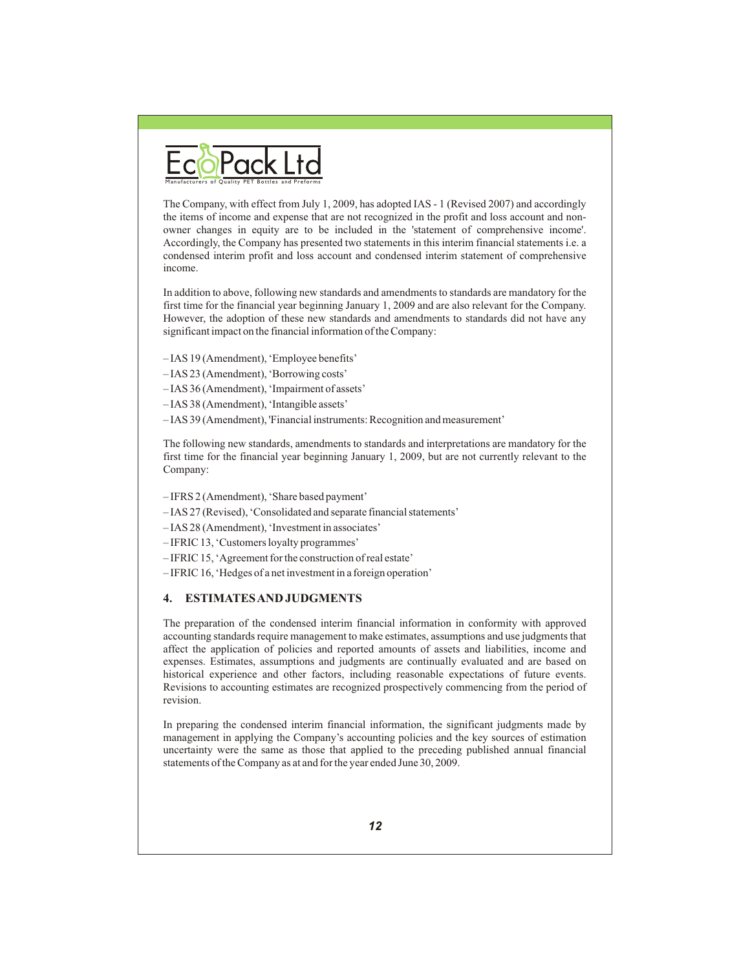

The Company, with effect from July 1, 2009, has adopted IAS - 1 (Revised 2007) and accordingly the items of income and expense that are not recognized in the profit and loss account and nonowner changes in equity are to be included in the 'statement of comprehensive income'. Accordingly, the Company has presented two statements in this interim financial statements i.e. a condensed interim profit and loss account and condensed interim statement of comprehensive income.

In addition to above, following new standards and amendments to standards are mandatory for the first time for the financial year beginning January 1, 2009 and are also relevant for the Company. However, the adoption of these new standards and amendments to standards did not have any significant impact on the financial information of the Company:

- IAS 19 (Amendment), 'Employee benefits'
- IAS 23 (Amendment), 'Borrowing costs'
- IAS 36 (Amendment), 'Impairment of assets'
- IAS 38 (Amendment), 'Intangible assets'
- IAS 39 (Amendment), 'Financial instruments: Recognition and measurement'

The following new standards, amendments to standards and interpretations are mandatory for the first time for the financial year beginning January 1, 2009, but are not currently relevant to the Company:

- IFRS 2 (Amendment), 'Share based payment'
- IAS 27 (Revised), 'Consolidated and separate financial statements'
- IAS 28 (Amendment), 'Investment in associates'
- IFRIC 13, 'Customers loyalty programmes'
- IFRIC 15, 'Agreement for the construction of real estate'
- IFRIC 16, 'Hedges of a net investment in a foreign operation'

#### **4. ESTIMATES AND JUDGMENTS**

The preparation of the condensed interim financial information in conformity with approved accounting standards require management to make estimates, assumptions and use judgments that affect the application of policies and reported amounts of assets and liabilities, income and expenses. Estimates, assumptions and judgments are continually evaluated and are based on historical experience and other factors, including reasonable expectations of future events. Revisions to accounting estimates are recognized prospectively commencing from the period of revision.

In preparing the condensed interim financial information, the significant judgments made by management in applying the Company's accounting policies and the key sources of estimation uncertainty were the same as those that applied to the preceding published annual financial statements of the Company as at and for the year ended June 30, 2009.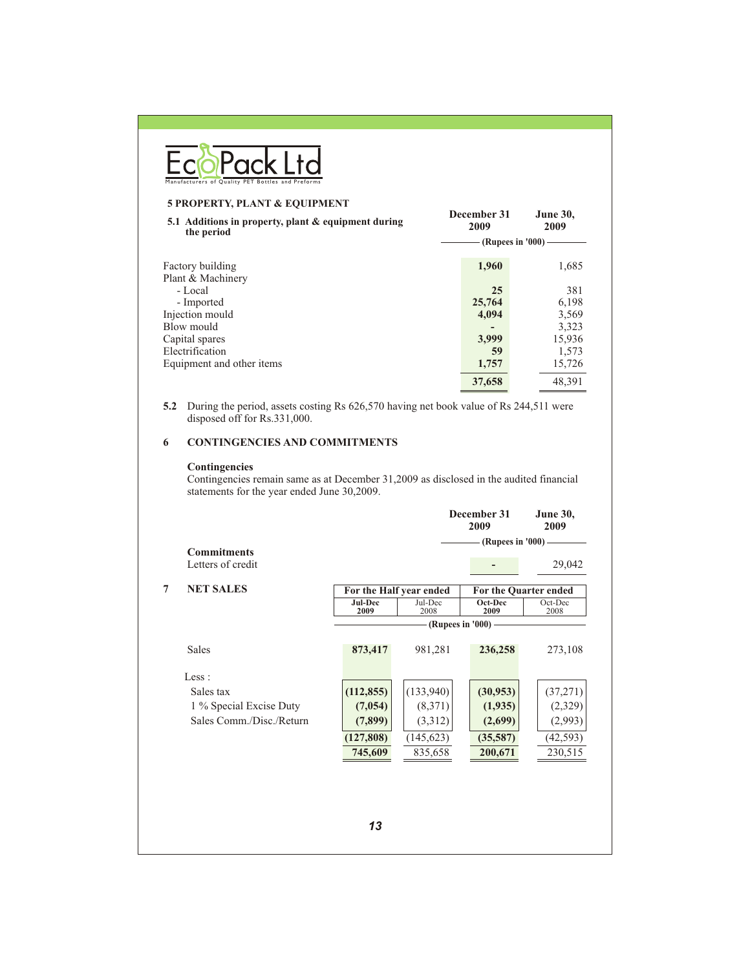|   | Manufacturers of Quality PET Bottles and P                                                                                                             |            |                                    |                                           |                         |
|---|--------------------------------------------------------------------------------------------------------------------------------------------------------|------------|------------------------------------|-------------------------------------------|-------------------------|
|   | 5 PROPERTY, PLANT & EQUIPMENT<br>5.1 Additions in property, plant & equipment during                                                                   |            |                                    | December 31                               | June 30,                |
|   | the period                                                                                                                                             |            |                                    | 2009<br>$-$ (Rupees in '000) $-$          | 2009                    |
|   |                                                                                                                                                        |            |                                    |                                           |                         |
|   | Factory building<br>Plant & Machinery                                                                                                                  |            |                                    | 1,960                                     | 1,685                   |
|   | - Local                                                                                                                                                |            |                                    | 25                                        | 381                     |
|   | - Imported                                                                                                                                             |            |                                    | 25,764                                    | 6,198                   |
|   | Injection mould<br>Blow mould                                                                                                                          |            |                                    | 4,094                                     | 3,569<br>3,323          |
|   | Capital spares                                                                                                                                         |            |                                    | 3,999                                     | 15,936                  |
|   | Electrification                                                                                                                                        |            |                                    | 59                                        | 1,573                   |
|   | Equipment and other items                                                                                                                              |            |                                    | 1,757                                     | 15,726                  |
|   |                                                                                                                                                        |            |                                    | 37,658                                    | 48,391                  |
| 6 | <b>CONTINGENCIES AND COMMITMENTS</b>                                                                                                                   |            |                                    |                                           |                         |
|   | Contingencies<br>Contingencies remain same as at December 31,2009 as disclosed in the audited financial<br>statements for the year ended June 30,2009. |            |                                    | December 31<br>2009<br>(Rupees in '000) - | <b>June 30,</b><br>2009 |
|   | <b>Commitments</b><br>Letters of credit                                                                                                                |            |                                    |                                           | 29,042                  |
|   | <b>NET SALES</b>                                                                                                                                       |            |                                    |                                           | For the Quarter ended   |
|   |                                                                                                                                                        | Jul-Dec    | For the Half year ended<br>Jul-Dec | Oct-Dec                                   | Oct-Dec                 |
|   |                                                                                                                                                        | 2009       | 2008                               | 2009<br>(Rupees in '000)                  | 2008                    |
|   | Sales                                                                                                                                                  | 873,417    | 981,281                            | 236,258                                   | 273,108                 |
|   | Less :                                                                                                                                                 |            |                                    |                                           |                         |
|   | Sales tax                                                                                                                                              | (112, 855) | (133, 940)                         | (30, 953)                                 | (37, 271)               |
|   | 1 % Special Excise Duty                                                                                                                                | (7, 054)   | (8,371)                            | (1,935)                                   | (2,329)                 |
| 7 | Sales Comm./Disc./Return                                                                                                                               | (7, 899)   | (3,312)                            | (2,699)                                   | (2,993)                 |
|   |                                                                                                                                                        | (127, 808) | (145, 623)                         | (35,587)                                  | (42, 593)               |
|   |                                                                                                                                                        | 745,609    | 835,658                            | 200,671                                   | 230,515                 |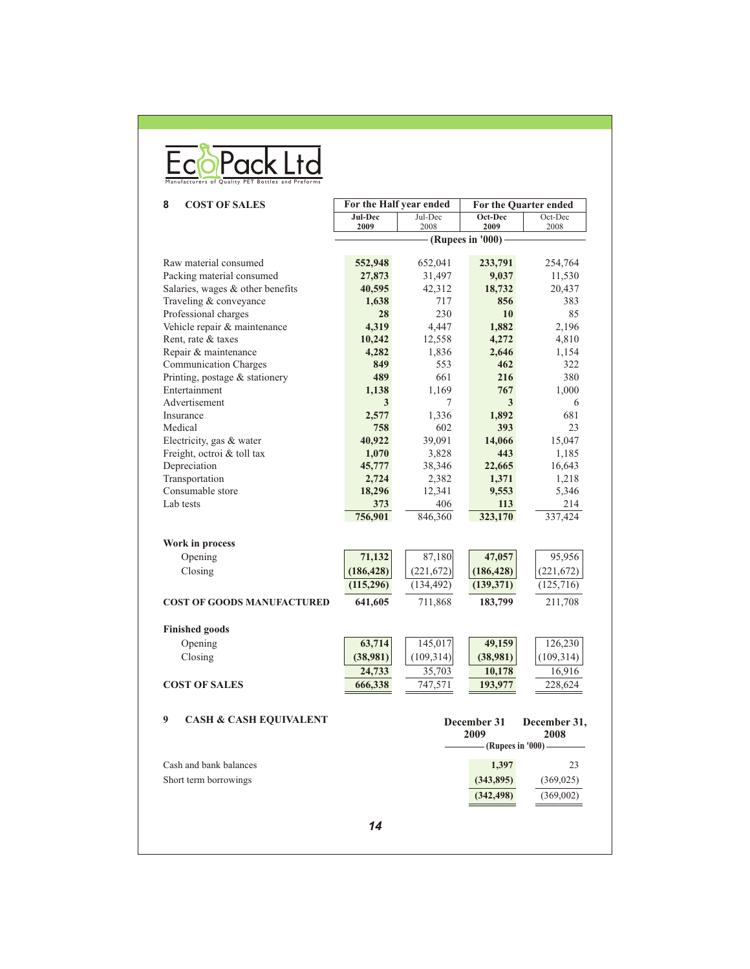| Manufacturers of Quality PET Bottles and Preforms |  |  |  |
|---------------------------------------------------|--|--|--|

| 8<br><b>COST OF SALES</b>                          | For the Half year ended |                 | For the Quarter ended |                 |
|----------------------------------------------------|-------------------------|-----------------|-----------------------|-----------------|
|                                                    | Jul-Dec<br>2009         | Jul-Dec<br>2008 | Oct-Dec<br>2009       | Oct-Dec<br>2008 |
|                                                    |                         |                 | (Rupees in $'000$ )   |                 |
| Raw material consumed                              | 552,948                 | 652,041         | 233,791               | 254,764         |
| Packing material consumed                          | 27,873                  | 31,497          | 9,037                 | 11,530          |
| Salaries, wages & other benefits                   | 40,595                  | 42,312          | 18,732                | 20,437          |
| Traveling & conveyance                             | 1,638                   | 717             | 856                   | 383             |
| Professional charges                               | 28                      | 230             | 10                    | 85              |
|                                                    | 4,319                   |                 | 1,882                 | 2,196           |
| Vehicle repair & maintenance<br>Rent, rate & taxes |                         | 4,447           |                       |                 |
|                                                    | 10,242                  | 12,558          | 4,272<br>2,646        | 4,810           |
| Repair & maintenance                               | 4,282                   | 1,836<br>553    | 462                   | 1,154           |
| <b>Communication Charges</b>                       | 849                     |                 |                       | 322             |
| Printing, postage & stationery                     | 489                     | 661             | 216                   | 380             |
| Entertainment                                      | 1,138                   | 1,169           | 767                   | 1,000           |
| Advertisement                                      | 3                       | 7               | 3                     | 6               |
| Insurance                                          | 2,577                   | 1,336           | 1,892                 | 681             |
| Medical                                            | 758                     | 602             | 393                   | 23              |
| Electricity, gas & water                           | 40,922                  | 39,091          | 14,066                | 15,047          |
| Freight, octroi & toll tax                         | 1,070                   | 3,828           | 443                   | 1,185           |
| Depreciation                                       | 45,777                  | 38,346          | 22,665                | 16,643          |
| Transportation                                     | 2,724                   | 2,382           | 1,371                 | 1,218           |
| Consumable store                                   | 18,296                  | 12,341          | 9,553                 | 5,346           |
| Lab tests                                          | 373                     | 406             | 113                   | 214             |
|                                                    | 756,901                 | 846,360         | 323,170               | 337,424         |
| Work in process                                    |                         |                 |                       |                 |
| Opening                                            | 71,132                  | 87,180          | 47,057                | 95,956          |
| Closing                                            | (186, 428)              | (221,672)       | (186, 428)            | (221, 672)      |
|                                                    | (115,296)               | (134, 492)      | (139, 371)            | (125,716)       |
| <b>COST OF GOODS MANUFACTURED</b>                  | 641,605                 | 711,868         | 183,799               | 211,708         |
| <b>Finished goods</b>                              |                         |                 |                       |                 |
| Opening                                            | 63,714                  | 145,017         | 49,159                | 126,230         |
| Closing                                            | (38,981)                | (109,314)       | (38,981)              | (109, 314)      |
|                                                    |                         |                 |                       |                 |
|                                                    | 24,733                  | 35,703          | 10,178                | 16,916          |
| <b>COST OF SALES</b>                               | 666,338                 | 747,571         | 193,977               | 228,624         |
| 9<br><b>CASH &amp; CASH EQUIVALENT</b>             |                         |                 | December 31           | December 31,    |
|                                                    |                         |                 | 2009                  | 2008            |
|                                                    |                         |                 | (Rupees in '000)      |                 |
| Cash and bank balances                             |                         |                 | 1,397                 | 23              |
| Short term borrowings                              |                         |                 | (343, 895)            | (369, 025)      |
|                                                    |                         |                 | (342, 498)            | (369,002)       |
|                                                    | 14                      |                 |                       |                 |
|                                                    |                         |                 |                       |                 |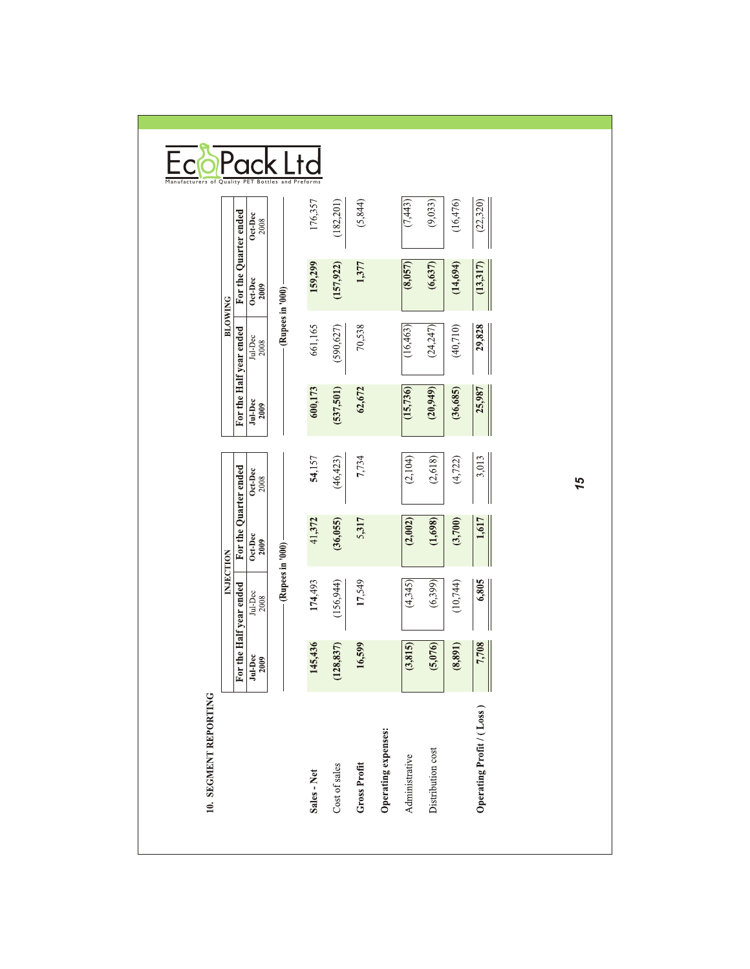